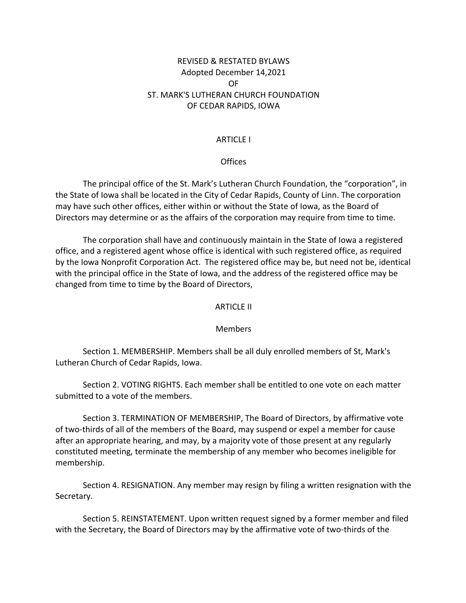# REVISED & RESTATED BYLAWS Adopted December 14,2021 OF ST. MARK'S LUTHERAN CHURCH FOUNDATION OF CEDAR RAPIDS, IOWA

### ARTICLE I

### **Offices**

The principal office of the St. Mark's Lutheran Church Foundation, the "corporation", in the State of Iowa shall be located in the City of Cedar Rapids, County of Linn. The corporation may have such other offices, either within or without the State of Iowa, as the Board of Directors may determine or as the affairs of the corporation may require from time to time.

The corporation shall have and continuously maintain in the State of Iowa a registered office, and a registered agent whose office is identical with such registered office, as required by the Iowa Nonprofit Corporation Act. The registered office may be, but need not be, identical with the principal office in the State of Iowa, and the address of the registered office may be changed from time to time by the Board of Directors,

#### ARTICLE II

#### Members

Section 1. MEMBERSHIP. Members shall be all duly enrolled members of St, Mark's Lutheran Church of Cedar Rapids, Iowa.

Section 2. VOTING RIGHTS. Each member shall be entitled to one vote on each matter submitted to a vote of the members.

Section 3. TERMINATION OF MEMBERSHIP, The Board of Directors, by affirmative vote of two-thirds of all of the members of the Board, may suspend or expel a member for cause after an appropriate hearing, and may, by a majority vote of those present at any regularly constituted meeting, terminate the membership of any member who becomes ineligible for membership.

Section 4. RESIGNATION. Any member may resign by filing a written resignation with the Secretary.

Section 5. REINSTATEMENT. Upon written request signed by a former member and filed with the Secretary, the Board of Directors may by the affirmative vote of two-thirds of the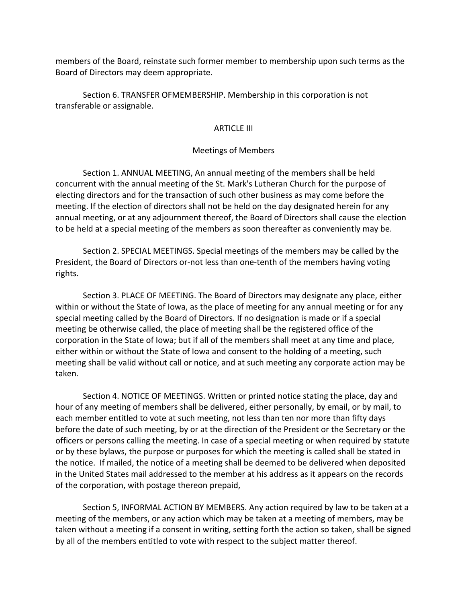members of the Board, reinstate such former member to membership upon such terms as the Board of Directors may deem appropriate.

Section 6. TRANSFER OFMEMBERSHIP. Membership in this corporation is not transferable or assignable.

#### ARTICLE III

#### Meetings of Members

Section 1. ANNUAL MEETING, An annual meeting of the members shall be held concurrent with the annual meeting of the St. Mark's Lutheran Church for the purpose of electing directors and for the transaction of such other business as may come before the meeting. If the election of directors shall not be held on the day designated herein for any annual meeting, or at any adjournment thereof, the Board of Directors shall cause the election to be held at a special meeting of the members as soon thereafter as conveniently may be.

Section 2. SPECIAL MEETINGS. Special meetings of the members may be called by the President, the Board of Directors or-not less than one-tenth of the members having voting rights.

Section 3. PLACE OF MEETING. The Board of Directors may designate any place, either within or without the State of Iowa, as the place of meeting for any annual meeting or for any special meeting called by the Board of Directors. If no designation is made or if a special meeting be otherwise called, the place of meeting shall be the registered office of the corporation in the State of Iowa; but if all of the members shall meet at any time and place, either within or without the State of Iowa and consent to the holding of a meeting, such meeting shall be valid without call or notice, and at such meeting any corporate action may be taken.

Section 4. NOTICE OF MEETINGS. Written or printed notice stating the place, day and hour of any meeting of members shall be delivered, either personally, by email, or by mail, to each member entitled to vote at such meeting, not less than ten nor more than fifty days before the date of such meeting, by or at the direction of the President or the Secretary or the officers or persons calling the meeting. In case of a special meeting or when required by statute or by these bylaws, the purpose or purposes for which the meeting is called shall be stated in the notice. If mailed, the notice of a meeting shall be deemed to be delivered when deposited in the United States mail addressed to the member at his address as it appears on the records of the corporation, with postage thereon prepaid,

Section 5, INFORMAL ACTION BY MEMBERS. Any action required by law to be taken at a meeting of the members, or any action which may be taken at a meeting of members, may be taken without a meeting if a consent in writing, setting forth the action so taken, shall be signed by all of the members entitled to vote with respect to the subject matter thereof.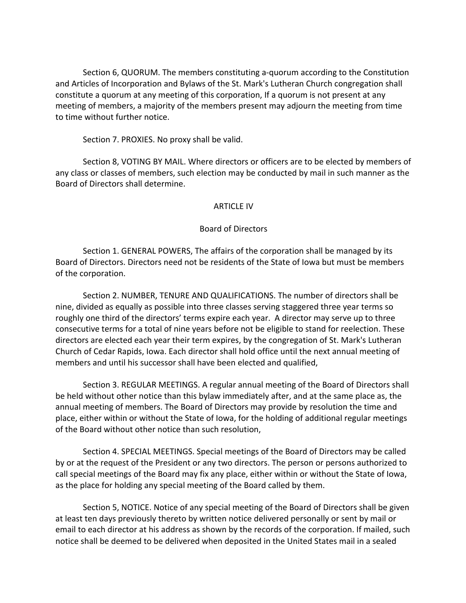Section 6, QUORUM. The members constituting a-quorum according to the Constitution and Articles of Incorporation and Bylaws of the St. Mark's Lutheran Church congregation shall constitute a quorum at any meeting of this corporation, If a quorum is not present at any meeting of members, a majority of the members present may adjourn the meeting from time to time without further notice.

Section 7. PROXIES. No proxy shall be valid.

Section 8, VOTING BY MAIL. Where directors or officers are to be elected by members of any class or classes of members, such election may be conducted by mail in such manner as the Board of Directors shall determine.

## ARTICLE IV

### Board of Directors

Section 1. GENERAL POWERS, The affairs of the corporation shall be managed by its Board of Directors. Directors need not be residents of the State of Iowa but must be members of the corporation.

Section 2. NUMBER, TENURE AND QUALIFICATIONS. The number of directors shall be nine, divided as equally as possible into three classes serving staggered three year terms so roughly one third of the directors' terms expire each year. A director may serve up to three consecutive terms for a total of nine years before not be eligible to stand for reelection. These directors are elected each year their term expires, by the congregation of St. Mark's Lutheran Church of Cedar Rapids, Iowa. Each director shall hold office until the next annual meeting of members and until his successor shall have been elected and qualified,

Section 3. REGULAR MEETINGS. A regular annual meeting of the Board of Directors shall be held without other notice than this bylaw immediately after, and at the same place as, the annual meeting of members. The Board of Directors may provide by resolution the time and place, either within or without the State of Iowa, for the holding of additional regular meetings of the Board without other notice than such resolution,

Section 4. SPECIAL MEETINGS. Special meetings of the Board of Directors may be called by or at the request of the President or any two directors. The person or persons authorized to call special meetings of the Board may fix any place, either within or without the State of Iowa, as the place for holding any special meeting of the Board called by them.

Section 5, NOTICE. Notice of any special meeting of the Board of Directors shall be given at least ten days previously thereto by written notice delivered personally or sent by mail or email to each director at his address as shown by the records of the corporation. If mailed, such notice shall be deemed to be delivered when deposited in the United States mail in a sealed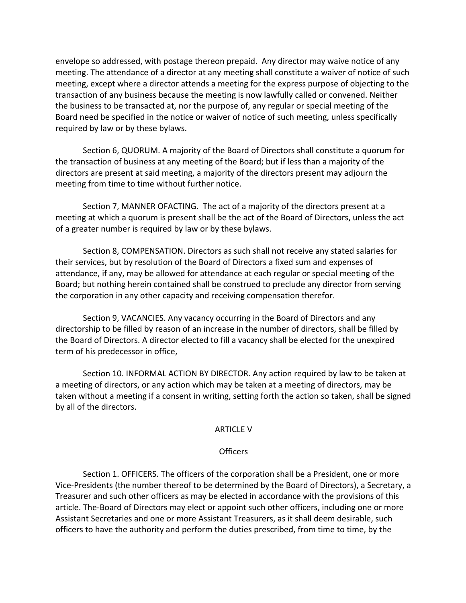envelope so addressed, with postage thereon prepaid. Any director may waive notice of any meeting. The attendance of a director at any meeting shall constitute a waiver of notice of such meeting, except where a director attends a meeting for the express purpose of objecting to the transaction of any business because the meeting is now lawfully called or convened. Neither the business to be transacted at, nor the purpose of, any regular or special meeting of the Board need be specified in the notice or waiver of notice of such meeting, unless specifically required by law or by these bylaws.

Section 6, QUORUM. A majority of the Board of Directors shall constitute a quorum for the transaction of business at any meeting of the Board; but if less than a majority of the directors are present at said meeting, a majority of the directors present may adjourn the meeting from time to time without further notice.

Section 7, MANNER OFACTING. The act of a majority of the directors present at a meeting at which a quorum is present shall be the act of the Board of Directors, unless the act of a greater number is required by law or by these bylaws.

Section 8, COMPENSATION. Directors as such shall not receive any stated salaries for their services, but by resolution of the Board of Directors a fixed sum and expenses of attendance, if any, may be allowed for attendance at each regular or special meeting of the Board; but nothing herein contained shall be construed to preclude any director from serving the corporation in any other capacity and receiving compensation therefor.

Section 9, VACANCIES. Any vacancy occurring in the Board of Directors and any directorship to be filled by reason of an increase in the number of directors, shall be filled by the Board of Directors. A director elected to fill a vacancy shall be elected for the unexpired term of his predecessor in office,

Section 10. INFORMAL ACTION BY DIRECTOR. Any action required by law to be taken at a meeting of directors, or any action which may be taken at a meeting of directors, may be taken without a meeting if a consent in writing, setting forth the action so taken, shall be signed by all of the directors.

## ARTICLE V

#### **Officers**

Section 1. OFFICERS. The officers of the corporation shall be a President, one or more Vice-Presidents (the number thereof to be determined by the Board of Directors), a Secretary, a Treasurer and such other officers as may be elected in accordance with the provisions of this article. The-Board of Directors may elect or appoint such other officers, including one or more Assistant Secretaries and one or more Assistant Treasurers, as it shall deem desirable, such officers to have the authority and perform the duties prescribed, from time to time, by the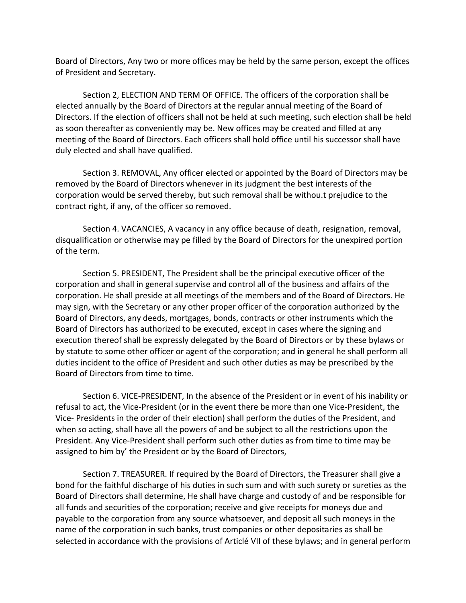Board of Directors, Any two or more offices may be held by the same person, except the offices of President and Secretary.

Section 2, ELECTION AND TERM OF OFFICE. The officers of the corporation shall be elected annually by the Board of Directors at the regular annual meeting of the Board of Directors. If the election of officers shall not be held at such meeting, such election shall be held as soon thereafter as conveniently may be. New offices may be created and filled at any meeting of the Board of Directors. Each officers shall hold office until his successor shall have duly elected and shall have qualified.

Section 3. REMOVAL, Any officer elected or appointed by the Board of Directors may be removed by the Board of Directors whenever in its judgment the best interests of the corporation would be served thereby, but such removal shall be withou.t prejudice to the contract right, if any, of the officer so removed.

Section 4. VACANCIES, A vacancy in any office because of death, resignation, removal, disqualification or otherwise may pe filled by the Board of Directors for the unexpired portion of the term.

Section 5. PRESIDENT, The President shall be the principal executive officer of the corporation and shall in general supervise and control all of the business and affairs of the corporation. He shall preside at all meetings of the members and of the Board of Directors. He may sign, with the Secretary or any other proper officer of the corporation authorized by the Board of Directors, any deeds, mortgages, bonds, contracts or other instruments which the Board of Directors has authorized to be executed, except in cases where the signing and execution thereof shall be expressly delegated by the Board of Directors or by these bylaws or by statute to some other officer or agent of the corporation; and in general he shall perform all duties incident to the office of President and such other duties as may be prescribed by the Board of Directors from time to time.

Section 6. VICE-PRESIDENT, In the absence of the President or in event of his inability or refusal to act, the Vice-President (or in the event there be more than one Vice-President, the Vice- Presidents in the order of their election) shall perform the duties of the President, and when so acting, shall have all the powers of and be subject to all the restrictions upon the President. Any Vice-President shall perform such other duties as from time to time may be assigned to him by' the President or by the Board of Directors,

Section 7. TREASURER. If required by the Board of Directors, the Treasurer shall give a bond for the faithful discharge of his duties in such sum and with such surety or sureties as the Board of Directors shall determine, He shall have charge and custody of and be responsible for all funds and securities of the corporation; receive and give receipts for moneys due and payable to the corporation from any source whatsoever, and deposit all such moneys in the name of the corporation in such banks, trust companies or other depositaries as shall be selected in accordance with the provisions of Articlé VII of these bylaws; and in general perform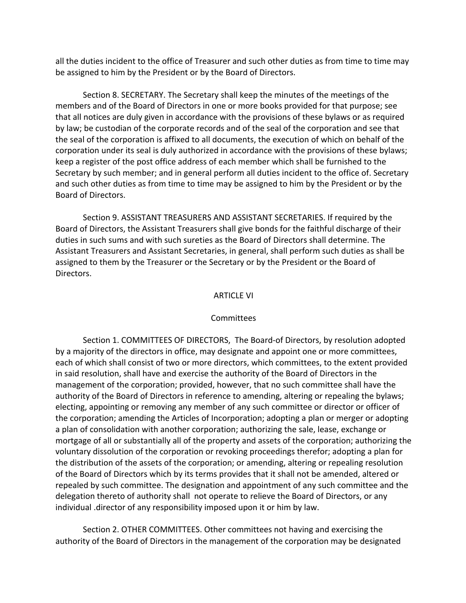all the duties incident to the office of Treasurer and such other duties as from time to time may be assigned to him by the President or by the Board of Directors.

Section 8. SECRETARY. The Secretary shall keep the minutes of the meetings of the members and of the Board of Directors in one or more books provided for that purpose; see that all notices are duly given in accordance with the provisions of these bylaws or as required by law; be custodian of the corporate records and of the seal of the corporation and see that the seal of the corporation is affixed to all documents, the execution of which on behalf of the corporation under its seal is duly authorized in accordance with the provisions of these bylaws; keep a register of the post office address of each member which shall be furnished to the Secretary by such member; and in general perform all duties incident to the office of. Secretary and such other duties as from time to time may be assigned to him by the President or by the Board of Directors.

Section 9. ASSISTANT TREASURERS AND ASSISTANT SECRETARIES. If required by the Board of Directors, the Assistant Treasurers shall give bonds for the faithful discharge of their duties in such sums and with such sureties as the Board of Directors shall determine. The Assistant Treasurers and Assistant Secretaries, in general, shall perform such duties as shall be assigned to them by the Treasurer or the Secretary or by the President or the Board of Directors.

#### ARTICLE VI

#### **Committees**

Section 1. COMMITTEES OF DIRECTORS, The Board-of Directors, by resolution adopted by a majority of the directors in office, may designate and appoint one or more committees, each of which shall consist of two or more directors, which committees, to the extent provided in said resolution, shall have and exercise the authority of the Board of Directors in the management of the corporation; provided, however, that no such committee shall have the authority of the Board of Directors in reference to amending, altering or repealing the bylaws; electing, appointing or removing any member of any such committee or director or officer of the corporation; amending the Articles of Incorporation; adopting a plan or merger or adopting a plan of consolidation with another corporation; authorizing the sale, lease, exchange or mortgage of all or substantially all of the property and assets of the corporation; authorizing the voluntary dissolution of the corporation or revoking proceedings therefor; adopting a plan for the distribution of the assets of the corporation; or amending, altering or repealing resolution of the Board of Directors which by its terms provides that it shall not be amended, altered or repealed by such committee. The designation and appointment of any such committee and the delegation thereto of authority shall not operate to relieve the Board of Directors, or any individual .director of any responsibility imposed upon it or him by law.

Section 2. OTHER COMMITTEES. Other committees not having and exercising the authority of the Board of Directors in the management of the corporation may be designated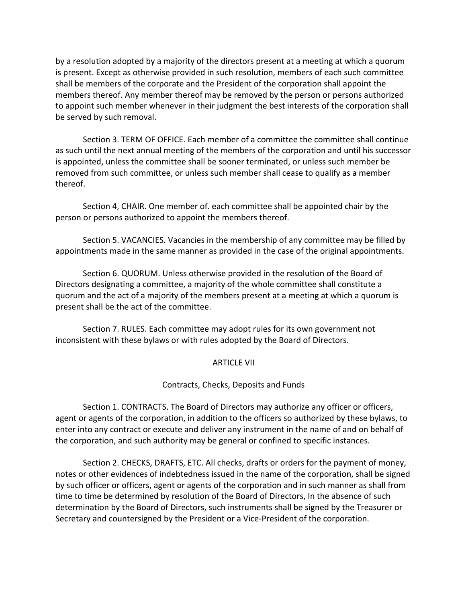by a resolution adopted by a majority of the directors present at a meeting at which a quorum is present. Except as otherwise provided in such resolution, members of each such committee shall be members of the corporate and the President of the corporation shall appoint the members thereof. Any member thereof may be removed by the person or persons authorized to appoint such member whenever in their judgment the best interests of the corporation shall be served by such removal.

Section 3. TERM OF OFFICE. Each member of a committee the committee shall continue as such until the next annual meeting of the members of the corporation and until his successor is appointed, unless the committee shall be sooner terminated, or unless such member be removed from such committee, or unless such member shall cease to qualify as a member thereof.

Section 4, CHAIR. One member of. each committee shall be appointed chair by the person or persons authorized to appoint the members thereof.

Section 5. VACANCIES. Vacancies in the membership of any committee may be filled by appointments made in the same manner as provided in the case of the original appointments.

Section 6. QUORUM. Unless otherwise provided in the resolution of the Board of Directors designating a committee, a majority of the whole committee shall constitute a quorum and the act of a majority of the members present at a meeting at which a quorum is present shall be the act of the committee.

Section 7. RULES. Each committee may adopt rules for its own government not inconsistent with these bylaws or with rules adopted by the Board of Directors.

#### ARTICLE VII

#### Contracts, Checks, Deposits and Funds

Section 1. CONTRACTS. The Board of Directors may authorize any officer or officers, agent or agents of the corporation, in addition to the officers so authorized by these bylaws, to enter into any contract or execute and deliver any instrument in the name of and on behalf of the corporation, and such authority may be general or confined to specific instances.

Section 2. CHECKS, DRAFTS, ETC. All checks, drafts or orders for the payment of money, notes or other evidences of indebtedness issued in the name of the corporation, shall be signed by such officer or officers, agent or agents of the corporation and in such manner as shall from time to time be determined by resolution of the Board of Directors, In the absence of such determination by the Board of Directors, such instruments shall be signed by the Treasurer or Secretary and countersigned by the President or a Vice-President of the corporation.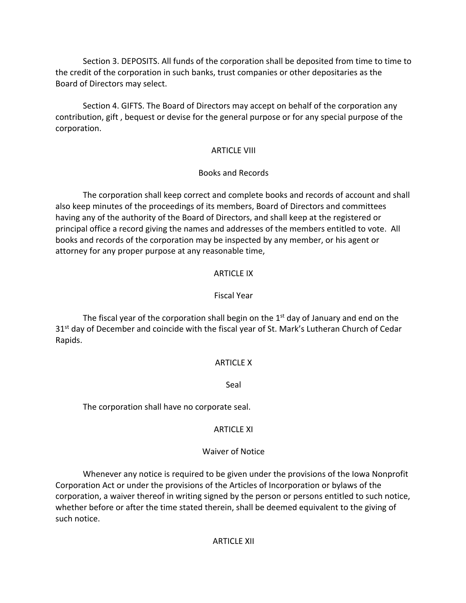Section 3. DEPOSITS. All funds of the corporation shall be deposited from time to time to the credit of the corporation in such banks, trust companies or other depositaries as the Board of Directors may select.

Section 4. GIFTS. The Board of Directors may accept on behalf of the corporation any contribution, gift , bequest or devise for the general purpose or for any special purpose of the corporation.

# ARTICLE VIII

# Books and Records

The corporation shall keep correct and complete books and records of account and shall also keep minutes of the proceedings of its members, Board of Directors and committees having any of the authority of the Board of Directors, and shall keep at the registered or principal office a record giving the names and addresses of the members entitled to vote. All books and records of the corporation may be inspected by any member, or his agent or attorney for any proper purpose at any reasonable time,

## ARTICLE IX

# Fiscal Year

The fiscal year of the corporation shall begin on the  $1<sup>st</sup>$  day of January and end on the 31<sup>st</sup> day of December and coincide with the fiscal year of St. Mark's Lutheran Church of Cedar Rapids.

## ARTICLE X

## Seal

The corporation shall have no corporate seal.

## ARTICLE XI

## Waiver of Notice

Whenever any notice is required to be given under the provisions of the Iowa Nonprofit Corporation Act or under the provisions of the Articles of Incorporation or bylaws of the corporation, a waiver thereof in writing signed by the person or persons entitled to such notice, whether before or after the time stated therein, shall be deemed equivalent to the giving of such notice.

## ARTICLE XII